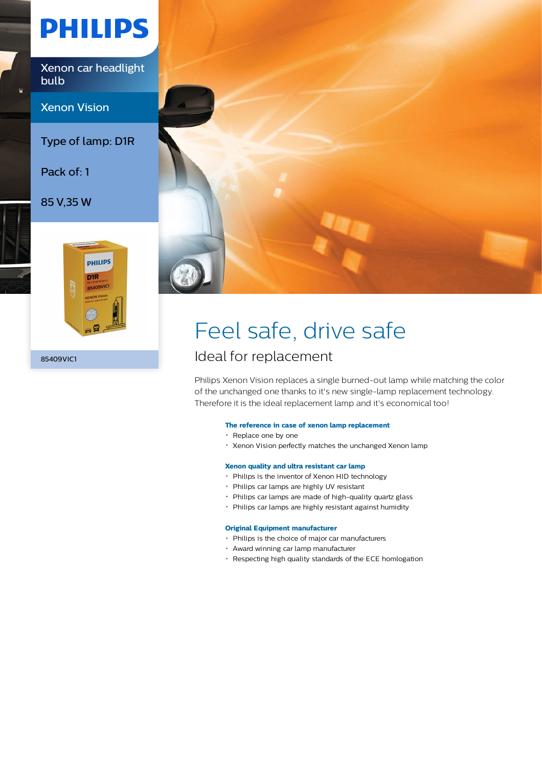# **PHILIPS**

Xenon car headlight bulb

Xenon Vision

Type of lamp: D1R

Pack of: 1

85 V,35 W



85409VIC1



## Feel safe, drive safe

### Ideal for replacement

Philips Xenon Vision replaces a single burned-out lamp while matching the color of the unchanged one thanks to it's new single-lamp replacement technology. Therefore it is the ideal replacement lamp and it's economical too!

### **The reference in case of xenon lamp replacement**

- Replace one by one
- Xenon Vision perfectly matches the unchanged Xenon lamp

### **Xenon quality and ultra resistant car lamp**

- Philips is the inventor of Xenon HID technology
- Philips car lamps are highly UV resistant
- Philips car lamps are made of high-quality quartz glass
- Philips car lamps are highly resistant against humidity

#### **Original Equipment manufacturer**

- Philips is the choice of major car manufacturers
- Award winning car lamp manufacturer
- Respecting high quality standards of the ECE homlogation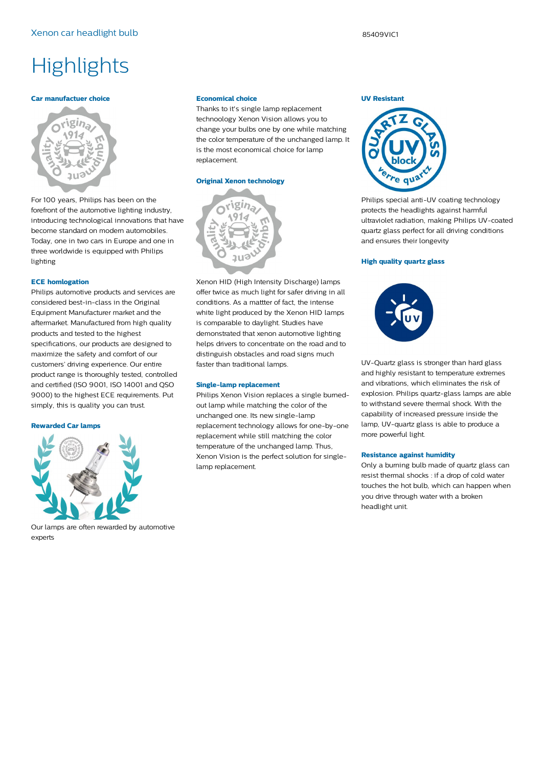### **Highlights**

#### **Car manufactuer choice**



For 100 years, Philips has been on the forefront of the automotive lighting industry, introducing technological innovations that have become standard on modern automobiles. Today, one in two cars in Europe and one in three worldwide is equipped with Philips lighting

#### **ECE homlogation**

Philips automotive products and services are considered best-in-class in the Original Equipment Manufacturer market and the aftermarket. Manufactured from high quality products and tested to the highest specifications, our products are designed to maximize the safety and comfort of our customers' driving experience. Our entire product range is thoroughly tested, controlled and certified (ISO 9001, ISO 14001 and QSO 9000) to the highest ECE requirements. Put simply, this is quality you can trust.

#### **Rewarded Car lamps**



Our lamps are often rewarded by automotive experts

#### **Economical choice**

Thanks to it's single lamp replacement technoology Xenon Vision allows you to change your bulbs one by one while matching the color temperature of the unchanged lamp. It is the most economical choice for lamp replacement.

#### **Original Xenon technology**



Xenon HID (High Intensity Discharge) lamps offer twice as much light for safer driving in all conditions. As a mattter of fact, the intense white light produced by the Xenon HID lamps is comparable to daylight. Studies have demonstrated that xenon automotive lighting helps drivers to concentrate on the road and to distinguish obstacles and road signs much faster than traditional lamps.

#### **Single-lamp replacement**

Philips Xenon Vision replaces a single burnedout lamp while matching the color of the unchanged one. Its new single-lamp replacement technology allows for one-by-one replacement while still matching the color temperature of the unchanged lamp. Thus, Xenon Vision is the perfect solution for singlelamp replacement.

#### **UV Resistant**



Philips special anti-UV coating technology protects the headlights against harmful ultraviolet radiation, making Philips UV-coated quartz glass perfect for all driving conditions and ensures their longevity

#### **High quality quartz glass**



UV-Quartz glass is stronger than hard glass and highly resistant to temperature extremes and vibrations, which eliminates the risk of explosion. Philips quartz-glass lamps are able to withstand severe thermal shock. With the capability of increased pressure inside the lamp, UV-quartz glass is able to produce a more powerful light.

#### **Resistance against humidity**

Only a burning bulb made of quartz glass can resist thermal shocks : if a drop of cold water touches the hot bulb, which can happen when you drive through water with a broken headlight unit.